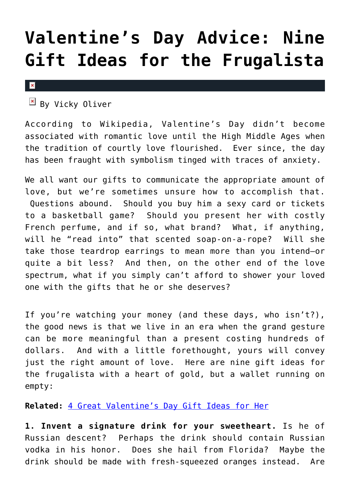## **[Valentine's Day Advice: Nine](https://cupidspulse.com/27221/nine-valentines-day-gift-ideas-frugalista/) [Gift Ideas for the Frugalista](https://cupidspulse.com/27221/nine-valentines-day-gift-ideas-frugalista/)**

## $\pmb{\times}$

 $\overline{B}$  By Vicky Oliver

According to Wikipedia, Valentine's Day didn't become associated with romantic love until the High Middle Ages when the tradition of courtly love flourished. Ever since, the day has been fraught with symbolism tinged with traces of anxiety.

We all want our gifts to communicate the appropriate amount of love, but we're sometimes unsure how to accomplish that. Questions abound. Should you buy him a sexy card or tickets to a basketball game? Should you present her with costly French perfume, and if so, what brand? What, if anything, will he "read into" that scented soap-on-a-rope? Will she take those teardrop earrings to mean more than you intend–or quite a bit less? And then, on the other end of the love spectrum, what if you simply can't afford to shower your loved one with the gifts that he or she deserves?

If you're watching your money (and these days, who isn't?), the good news is that we live in an era when the grand gesture can be more meaningful than a present costing hundreds of dollars. And with a little forethought, yours will convey just the right amount of love. Here are nine gift ideas for the frugalista with a heart of gold, but a wallet running on empty:

**Related:** [4 Great Valentine's Day Gift Ideas for Her](http://cupidspulse.com/4-great-valentines-day-gift-ideas-for-her/)

**1. Invent a signature drink for your sweetheart.** Is he of Russian descent? Perhaps the drink should contain Russian vodka in his honor. Does she hail from Florida? Maybe the drink should be made with fresh-squeezed oranges instead. Are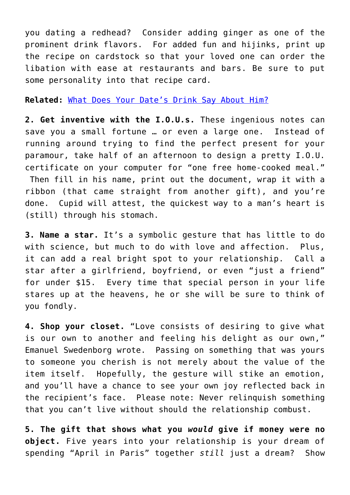you dating a redhead? Consider adding ginger as one of the prominent drink flavors. For added fun and hijinks, print up the recipe on cardstock so that your loved one can order the libation with ease at restaurants and bars. Be sure to put some personality into that recipe card.

## **Related:** [What Does Your Date's Drink Say About Him?](http://cupidspulse.com/what-does-dates-drink-say-about-him-bartender-love-beer-wine-liquor/)

**2. Get inventive with the I.O.U.s.** These ingenious notes can save you a small fortune … or even a large one. Instead of running around trying to find the perfect present for your paramour, take half of an afternoon to design a pretty I.O.U. certificate on your computer for "one free home-cooked meal." Then fill in his name, print out the document, wrap it with a ribbon (that came straight from another gift), and you're done. Cupid will attest, the quickest way to a man's heart is (still) through his stomach.

**3. Name a star.** It's a symbolic gesture that has little to do with science, but much to do with love and affection. Plus, it can add a real bright spot to your relationship. Call a star after a girlfriend, boyfriend, or even "just a friend" for under \$15. Every time that special person in your life stares up at the heavens, he or she will be sure to think of you fondly.

**4. Shop your closet.** "Love consists of desiring to give what is our own to another and feeling his delight as our own," Emanuel Swedenborg wrote. Passing on something that was yours to someone you cherish is not merely about the value of the item itself. Hopefully, the gesture will stike an emotion, and you'll have a chance to see your own joy reflected back in the recipient's face. Please note: Never relinquish something that you can't live without should the relationship combust.

**5. The gift that shows what you** *would* **give if money were no object.** Five years into your relationship is your dream of spending "April in Paris" together *still* just a dream? Show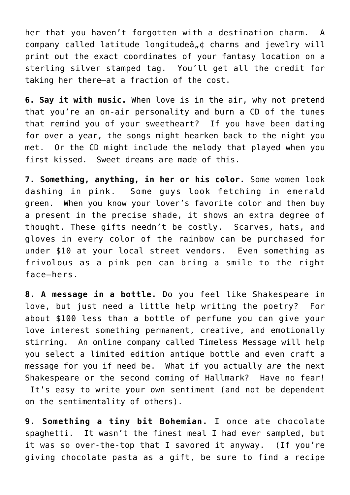her that you haven't forgotten with a destination charm. A company called latitude longitudeâ" $\phi$  charms and jewelry will print out the exact coordinates of your fantasy location on a sterling silver stamped tag. You'll get all the credit for taking her there–at a fraction of the cost.

**6. Say it with music.** When love is in the air, why not pretend that you're an on-air personality and burn a CD of the tunes that remind you of your sweetheart? If you have been dating for over a year, the songs might hearken back to the night you met. Or the CD might include the melody that played when you first kissed. Sweet dreams are made of this.

**7. Something, anything, in her or his color.** Some women look dashing in pink. Some guys look fetching in emerald green.When you know your lover's favorite color and then buy a present in the precise shade, it shows an extra degree of thought. These gifts needn't be costly. Scarves, hats, and gloves in every color of the rainbow can be purchased for under \$10 at your local street vendors. Even something as frivolous as a pink pen can bring a smile to the right face–hers.

**8. A message in a bottle.** Do you feel like Shakespeare in love, but just need a little help writing the poetry? For about \$100 less than a bottle of perfume you can give your love interest something permanent, creative, and emotionally stirring. An online company called Timeless Message will help you select a limited edition antique bottle and even craft a message for you if need be. What if you actually *are* the next Shakespeare or the second coming of Hallmark? Have no fear! It's easy to write your own sentiment (and not be dependent on the sentimentality of others).

**9. Something a tiny bit Bohemian.** I once ate chocolate spaghetti. It wasn't the finest meal I had ever sampled, but it was so over-the-top that I savored it anyway. (If you're giving chocolate pasta as a gift, be sure to find a recipe